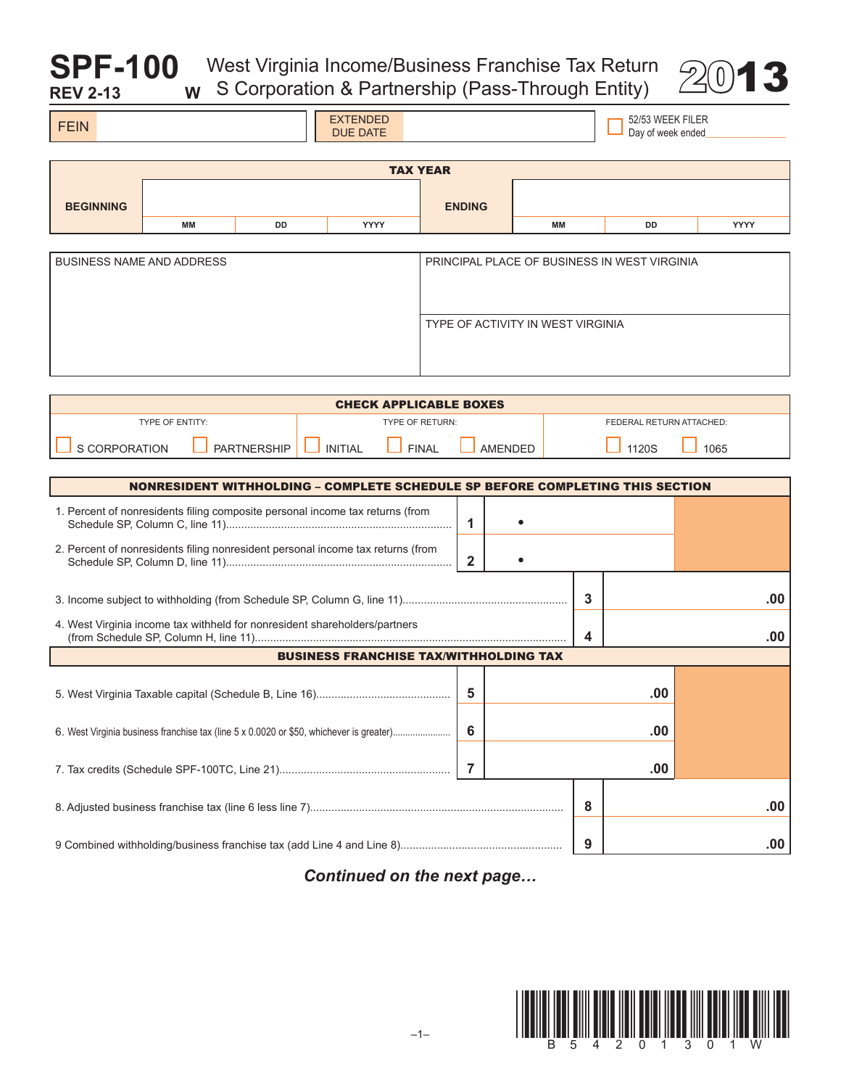#### **SPF-100** West Virginia Income/Business Franchise Tax Return West Virginia Income/Business Franchise Tax Return  $2013$ <br>S Corporation & Partnership (Pass-Through Entity)

**REV 2-13** 

| <b>EXTENDED</b><br><b>FEIN</b><br><b>DUE DATE</b>                                       |                                                                                    |    |  |                               |                 |                                 |     | 52/53 WEEK FILER<br>Day of week ended |      |                          |  |      |
|-----------------------------------------------------------------------------------------|------------------------------------------------------------------------------------|----|--|-------------------------------|-----------------|---------------------------------|-----|---------------------------------------|------|--------------------------|--|------|
| <b>TAX YEAR</b>                                                                         |                                                                                    |    |  |                               |                 |                                 |     |                                       |      |                          |  |      |
| <b>BEGINNING</b>                                                                        |                                                                                    |    |  |                               | <b>ENDING</b>   |                                 |     |                                       |      |                          |  |      |
|                                                                                         | MM                                                                                 | DD |  | <b>YYYY</b>                   |                 |                                 |     | МM                                    |      | DD                       |  | YYYY |
| <b>BUSINESS NAME AND ADDRESS</b><br>PRINCIPAL PLACE OF BUSINESS IN WEST VIRGINIA        |                                                                                    |    |  |                               |                 |                                 |     |                                       |      |                          |  |      |
| TYPE OF ACTIVITY IN WEST VIRGINIA                                                       |                                                                                    |    |  |                               |                 |                                 |     |                                       |      |                          |  |      |
|                                                                                         |                                                                                    |    |  | <b>CHECK APPLICABLE BOXES</b> |                 |                                 |     |                                       |      |                          |  |      |
|                                                                                         | TYPE OF ENTITY:                                                                    |    |  |                               | TYPE OF RETURN: |                                 |     |                                       |      | FEDERAL RETURN ATTACHED: |  |      |
| S CORPORATION<br><b>PARTNERSHIP</b><br><b>INITIAL</b><br><b>FINAL</b>                   |                                                                                    |    |  |                               |                 | <b>AMENDED</b><br>1120S<br>1065 |     |                                       |      |                          |  |      |
|                                                                                         |                                                                                    |    |  |                               |                 |                                 |     |                                       |      |                          |  |      |
| NONRESIDENT WITHHOLDING – COMPLETE SCHEDULE SP BEFORE COMPLETING THIS SECTION           |                                                                                    |    |  |                               |                 |                                 |     |                                       |      |                          |  |      |
|                                                                                         | 1. Percent of nonresidents filing composite personal income tax returns (from<br>1 |    |  |                               |                 |                                 |     |                                       |      |                          |  |      |
|                                                                                         | 2. Percent of nonresidents filing nonresident personal income tax returns (from    |    |  |                               |                 | $\mathbf{2}$                    |     |                                       |      |                          |  |      |
|                                                                                         |                                                                                    |    |  |                               |                 |                                 |     |                                       | 3    |                          |  | .00  |
|                                                                                         | 4. West Virginia income tax withheld for nonresident shareholders/partners         |    |  |                               |                 |                                 |     |                                       | 4    |                          |  | .00  |
| <b>BUSINESS FRANCHISE TAX/WITHHOLDING TAX</b>                                           |                                                                                    |    |  |                               |                 |                                 |     |                                       |      |                          |  |      |
| 5                                                                                       |                                                                                    |    |  |                               |                 |                                 | .00 |                                       |      |                          |  |      |
| 6. West Virginia business franchise tax (line 5 x 0.0020 or \$50, whichever is greater) |                                                                                    |    |  |                               | 6               |                                 | .00 |                                       |      |                          |  |      |
|                                                                                         |                                                                                    |    |  |                               |                 | $\overline{7}$                  |     | .00                                   |      |                          |  |      |
|                                                                                         |                                                                                    |    |  |                               |                 |                                 | 8   |                                       |      | .00                      |  |      |
|                                                                                         |                                                                                    |    |  |                               |                 | 9                               |     |                                       | .00. |                          |  |      |

*Continued on the next page…*

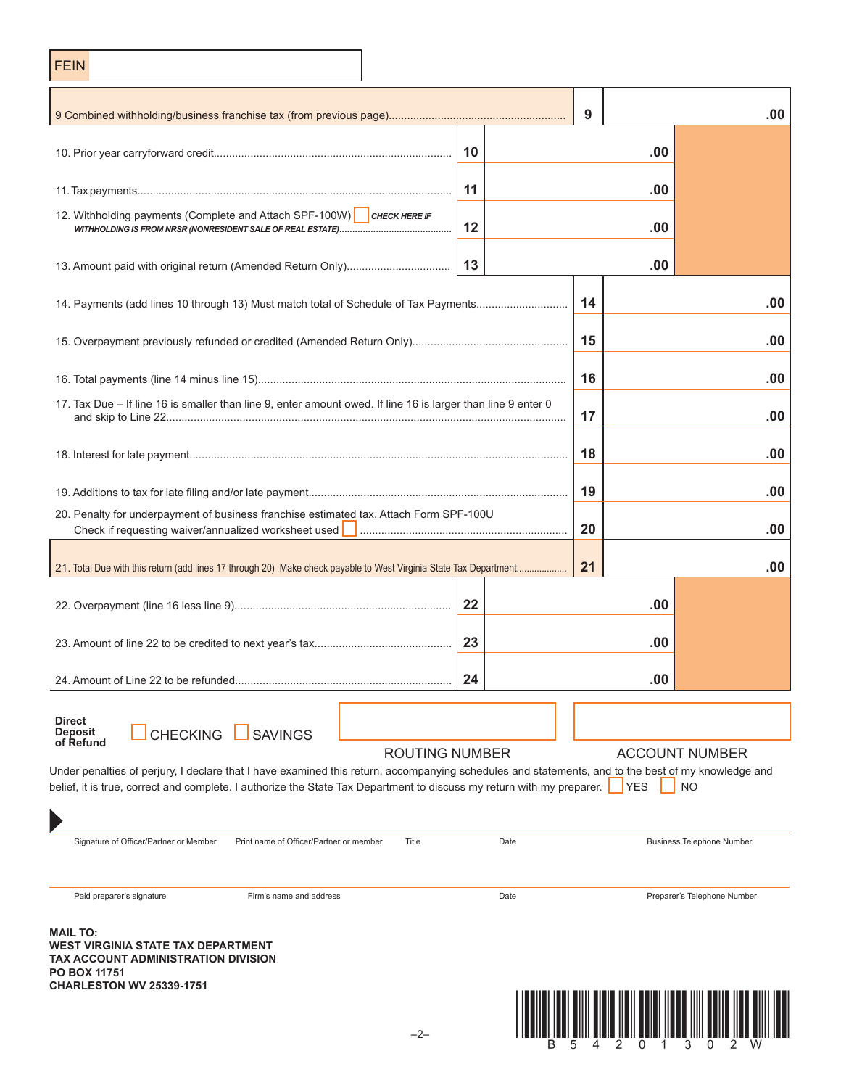| <b>FEIN</b>                                                                                                                                                                                                                                                                 |    |      |    |            |                                  |
|-----------------------------------------------------------------------------------------------------------------------------------------------------------------------------------------------------------------------------------------------------------------------------|----|------|----|------------|----------------------------------|
|                                                                                                                                                                                                                                                                             |    |      | 9  |            | .00                              |
|                                                                                                                                                                                                                                                                             | 10 |      |    | .00        |                                  |
|                                                                                                                                                                                                                                                                             | 11 |      |    | .00        |                                  |
| 12. Withholding payments (Complete and Attach SPF-100W)<br><b>CHECK HERE IF</b>                                                                                                                                                                                             | 12 |      |    | .00        |                                  |
|                                                                                                                                                                                                                                                                             | 13 |      |    | .00        |                                  |
| 14. Payments (add lines 10 through 13) Must match total of Schedule of Tax Payments                                                                                                                                                                                         |    |      | 14 |            | .00                              |
|                                                                                                                                                                                                                                                                             |    |      | 15 |            | .00                              |
|                                                                                                                                                                                                                                                                             |    |      | 16 |            | .00                              |
| 17. Tax Due – If line 16 is smaller than line 9, enter amount owed. If line 16 is larger than line 9 enter 0                                                                                                                                                                |    |      | 17 |            | .00                              |
|                                                                                                                                                                                                                                                                             |    |      | 18 |            | .00                              |
|                                                                                                                                                                                                                                                                             |    |      | 19 |            | .00                              |
| 20. Penalty for underpayment of business franchise estimated tax. Attach Form SPF-100U<br>Check if requesting waiver/annualized worksheet used                                                                                                                              |    |      | 20 |            | .00                              |
| 21. Total Due with this return (add lines 17 through 20) Make check payable to West Virginia State Tax Department                                                                                                                                                           |    |      | 21 |            | .00                              |
|                                                                                                                                                                                                                                                                             | 22 |      |    | .00        |                                  |
|                                                                                                                                                                                                                                                                             | 23 |      |    | .00        |                                  |
| 24. Amount of Line 22 to be refunded                                                                                                                                                                                                                                        | 24 |      |    | .00        |                                  |
| <b>Direct</b><br><b>CHECKING</b><br>$\Box$ SAVINGS<br><b>Deposit</b>                                                                                                                                                                                                        |    |      |    |            |                                  |
| of Refund<br><b>ROUTING NUMBER</b>                                                                                                                                                                                                                                          |    |      |    |            | <b>ACCOUNT NUMBER</b>            |
| Under penalties of perjury, I declare that I have examined this return, accompanying schedules and statements, and to the best of my knowledge and<br>belief, it is true, correct and complete. I authorize the State Tax Department to discuss my return with my preparer. |    |      |    | <b>YES</b> | <b>NO</b>                        |
|                                                                                                                                                                                                                                                                             |    |      |    |            |                                  |
| Signature of Officer/Partner or Member<br>Print name of Officer/Partner or member<br>Title                                                                                                                                                                                  |    | Date |    |            | <b>Business Telephone Number</b> |
| Paid preparer's signature<br>Firm's name and address                                                                                                                                                                                                                        |    | Date |    |            | Preparer's Telephone Number      |
| <b>MAIL TO:</b><br>WEST VIRGINIA STATE TAX DEPARTMENT<br>TAX ACCOUNT ADMINISTRATION DIVISION<br>PO BOX 11751<br><b>CHARLESTON WV 25339-1751</b><br>$-2-$                                                                                                                    |    |      |    |            |                                  |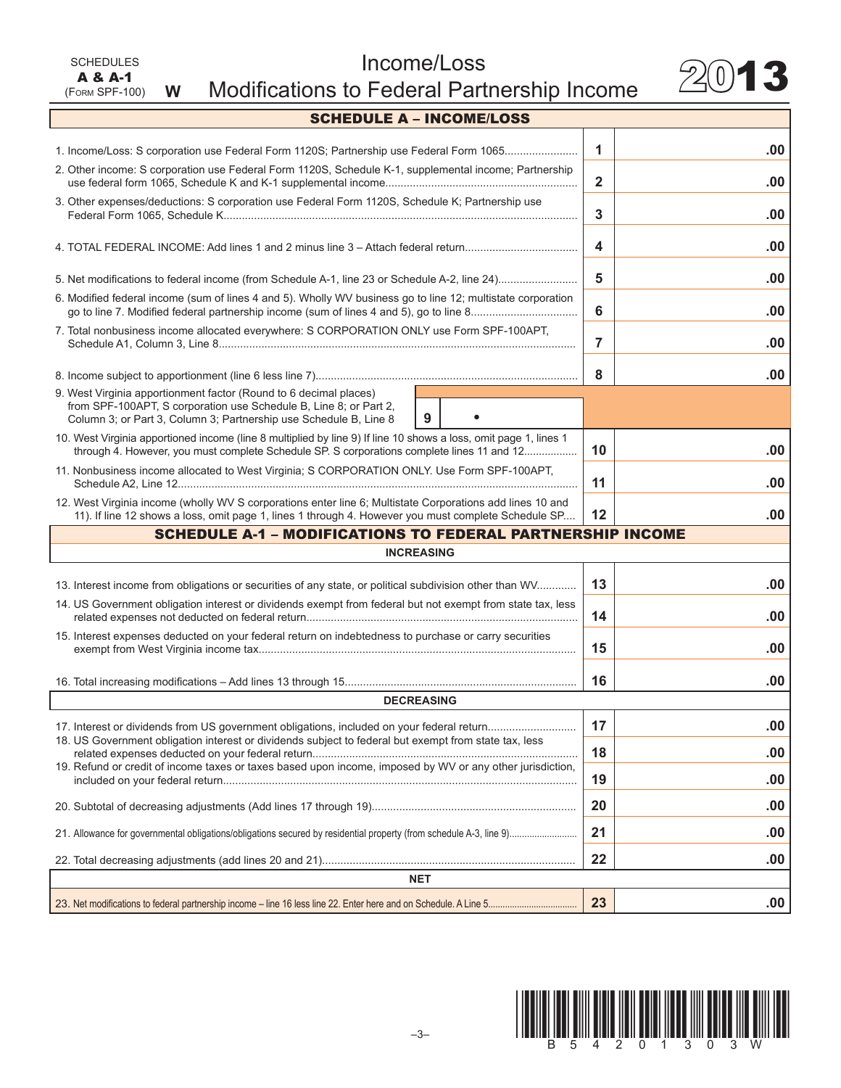| <b>SCHEDULES</b> |   |
|------------------|---|
| A & A-1          |   |
| (FORM SPF-100)   | W |

## Income/Loss Income/Loss<br>Modifications to Federal Partnership Income 2013



| <b>SCHEDULE A - INCOME/LOSS</b>                                                                                                                                                                                  |    |     |
|------------------------------------------------------------------------------------------------------------------------------------------------------------------------------------------------------------------|----|-----|
| 1. Income/Loss: S corporation use Federal Form 1120S; Partnership use Federal Form 1065                                                                                                                          | 1  | .00 |
| 2. Other income: S corporation use Federal Form 1120S, Schedule K-1, supplemental income; Partnership                                                                                                            | 2  | .00 |
| 3. Other expenses/deductions: S corporation use Federal Form 1120S, Schedule K; Partnership use                                                                                                                  | 3  | .00 |
| 4. TOTAL FEDERAL INCOME: Add lines 1 and 2 minus line 3 – Attach federal return                                                                                                                                  | 4  | .00 |
|                                                                                                                                                                                                                  | 5  | .00 |
| 6. Modified federal income (sum of lines 4 and 5). Wholly WV business go to line 12; multistate corporation                                                                                                      | 6  | .00 |
| 7. Total nonbusiness income allocated everywhere: S CORPORATION ONLY use Form SPF-100APT,                                                                                                                        | 7  | .00 |
|                                                                                                                                                                                                                  | 8  | .00 |
| 9. West Virginia apportionment factor (Round to 6 decimal places)<br>from SPF-100APT, S corporation use Schedule B, Line 8; or Part 2,<br>9<br>Column 3; or Part 3, Column 3; Partnership use Schedule B, Line 8 |    |     |
| 10. West Virginia apportioned income (line 8 multiplied by line 9) If line 10 shows a loss, omit page 1, lines 1<br>through 4. However, you must complete Schedule SP. S corporations complete lines 11 and 12   | 10 | .00 |
| 11. Nonbusiness income allocated to West Virginia; S CORPORATION ONLY. Use Form SPF-100APT,                                                                                                                      | 11 | .00 |
| 12. West Virginia income (wholly WV S corporations enter line 6; Multistate Corporations add lines 10 and<br>11). If line 12 shows a loss, omit page 1, lines 1 through 4. However you must complete Schedule SP | 12 | .00 |
| <b>SCHEDULE A-1 - MODIFICATIONS TO FEDERAL PARTNERSHIP INCOME</b>                                                                                                                                                |    |     |
| <b>INCREASING</b>                                                                                                                                                                                                |    |     |
| 13. Interest income from obligations or securities of any state, or political subdivision other than WV                                                                                                          | 13 | .00 |
| 14. US Government obligation interest or dividends exempt from federal but not exempt from state tax, less                                                                                                       | 14 | .00 |
| 15. Interest expenses deducted on your federal return on indebtedness to purchase or carry securities                                                                                                            | 15 | .00 |
|                                                                                                                                                                                                                  | 16 | .00 |
| <b>DECREASING</b>                                                                                                                                                                                                |    |     |
|                                                                                                                                                                                                                  | 17 | .00 |
| 17. Interest or dividends from US government obligations, included on your federal return<br>18. US Government obligation interest or dividends subject to federal but exempt from state tax, less               | 18 | .00 |
| 19. Refund or credit of income taxes or taxes based upon income, imposed by WV or any other jurisdiction,                                                                                                        | 19 | .00 |
|                                                                                                                                                                                                                  | 20 | .00 |
|                                                                                                                                                                                                                  | 21 | .00 |
|                                                                                                                                                                                                                  | 22 | .00 |
| <b>NET</b>                                                                                                                                                                                                       |    |     |
|                                                                                                                                                                                                                  | 23 | .00 |

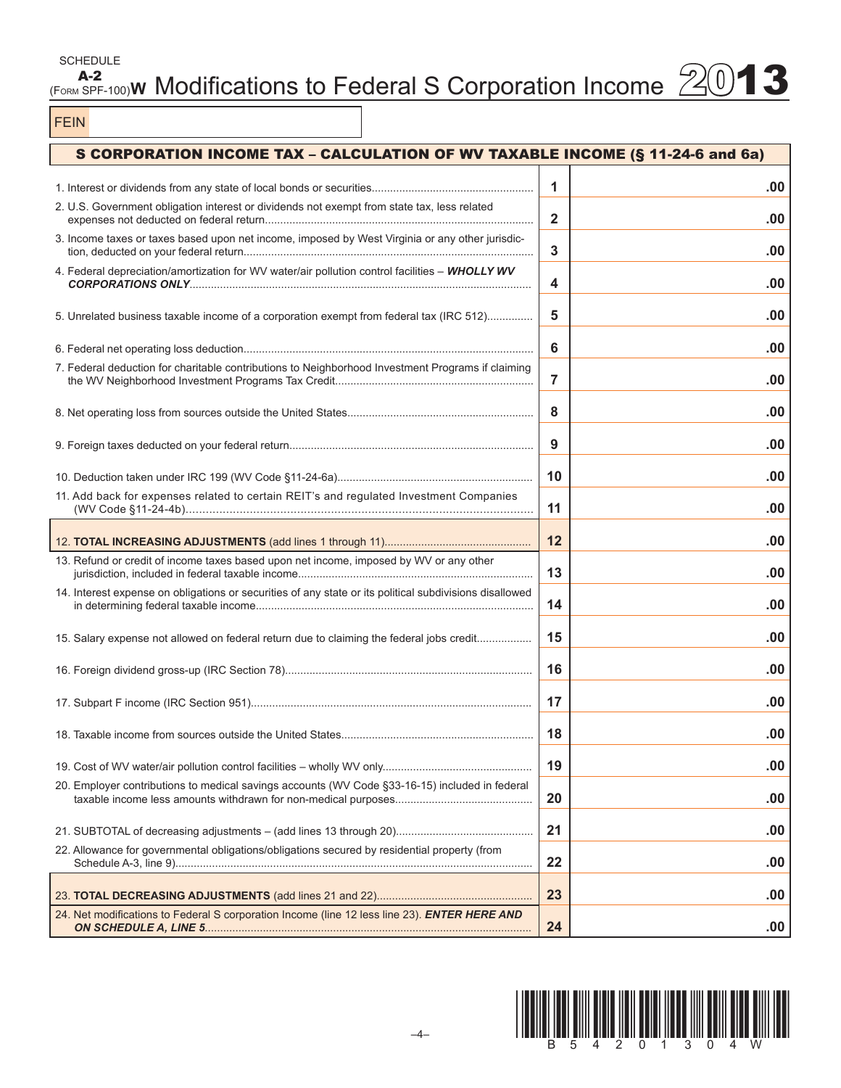SCHEDULE

# $A-2$ <br>(Form SPF-100)**W** Modifications to Federal S Corporation Income  $2013$

| S CORPORATION INCOME TAX - CALCULATION OF WV TAXABLE INCOME (§ 11-24-6 and 6a)                          |    |      |  |  |  |  |
|---------------------------------------------------------------------------------------------------------|----|------|--|--|--|--|
|                                                                                                         | 1  | .00  |  |  |  |  |
| 2. U.S. Government obligation interest or dividends not exempt from state tax, less related             | 2  | .00  |  |  |  |  |
| 3. Income taxes or taxes based upon net income, imposed by West Virginia or any other jurisdic-         | 3  | .00  |  |  |  |  |
| 4. Federal depreciation/amortization for WV water/air pollution control facilities - WHOLLY WV          | 4  | .00  |  |  |  |  |
| 5. Unrelated business taxable income of a corporation exempt from federal tax (IRC 512)                 | 5  | .00  |  |  |  |  |
|                                                                                                         | 6  | .00  |  |  |  |  |
| 7. Federal deduction for charitable contributions to Neighborhood Investment Programs if claiming       | 7  | .00  |  |  |  |  |
|                                                                                                         | 8  | .00  |  |  |  |  |
|                                                                                                         | 9  | .00  |  |  |  |  |
|                                                                                                         | 10 | .00  |  |  |  |  |
| 11. Add back for expenses related to certain REIT's and regulated Investment Companies                  | 11 | .00  |  |  |  |  |
|                                                                                                         | 12 | .00  |  |  |  |  |
| 13. Refund or credit of income taxes based upon net income, imposed by WV or any other                  | 13 | .00  |  |  |  |  |
| 14. Interest expense on obligations or securities of any state or its political subdivisions disallowed | 14 | .00  |  |  |  |  |
| 15. Salary expense not allowed on federal return due to claiming the federal jobs credit                | 15 | .00  |  |  |  |  |
|                                                                                                         | 16 | .00  |  |  |  |  |
|                                                                                                         | 17 | .00  |  |  |  |  |
|                                                                                                         | 18 | .00  |  |  |  |  |
|                                                                                                         | 19 | .00  |  |  |  |  |
| 20. Employer contributions to medical savings accounts (WV Code §33-16-15) included in federal          | 20 | .00  |  |  |  |  |
|                                                                                                         | 21 | .00  |  |  |  |  |
| 22. Allowance for governmental obligations/obligations secured by residential property (from            | 22 | .00  |  |  |  |  |
|                                                                                                         | 23 | .00  |  |  |  |  |
| 24. Net modifications to Federal S corporation Income (line 12 less line 23). ENTER HERE AND            | 24 | .00. |  |  |  |  |

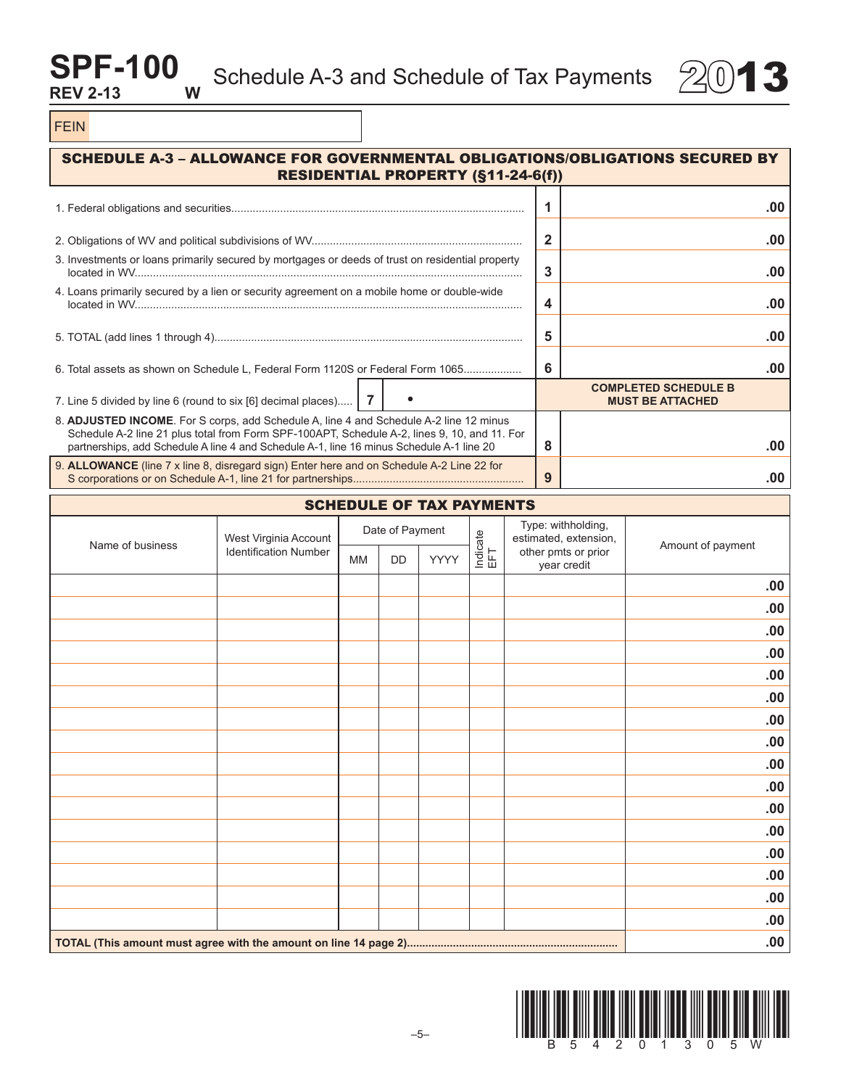# **SPF-100**



|                                                                                                                                                                                                                                                                                    |  |  | <b>RESIDENTIAL PROPERTY (§11-24-6(f))</b> |  |  |                    | SCHEDULE A-3 - ALLOWANCE FOR GOVERNMENTAL OBLIGATIONS/OBLIGATIONS SECURED BY |
|------------------------------------------------------------------------------------------------------------------------------------------------------------------------------------------------------------------------------------------------------------------------------------|--|--|-------------------------------------------|--|--|--------------------|------------------------------------------------------------------------------|
|                                                                                                                                                                                                                                                                                    |  |  |                                           |  |  | 1                  | .00                                                                          |
|                                                                                                                                                                                                                                                                                    |  |  |                                           |  |  | $\overline{2}$     | .00                                                                          |
| 3. Investments or loans primarily secured by mortgages or deeds of trust on residential property                                                                                                                                                                                   |  |  |                                           |  |  |                    | .00                                                                          |
| 4. Loans primarily secured by a lien or security agreement on a mobile home or double-wide                                                                                                                                                                                         |  |  |                                           |  |  | 4                  | .00                                                                          |
|                                                                                                                                                                                                                                                                                    |  |  |                                           |  |  | 5                  | .00                                                                          |
| 6. Total assets as shown on Schedule L, Federal Form 1120S or Federal Form 1065                                                                                                                                                                                                    |  |  |                                           |  |  | 6                  | .00                                                                          |
| 7. Line 5 divided by line 6 (round to six [6] decimal places) $\mid 7 \mid$                                                                                                                                                                                                        |  |  |                                           |  |  |                    | <b>COMPLETED SCHEDULE B</b><br><b>MUST BE ATTACHED</b>                       |
| 8. ADJUSTED INCOME. For S corps, add Schedule A, line 4 and Schedule A-2 line 12 minus<br>Schedule A-2 line 21 plus total from Form SPF-100APT, Schedule A-2, lines 9, 10, and 11. For<br>partnerships, add Schedule A line 4 and Schedule A-1, line 16 minus Schedule A-1 line 20 |  |  |                                           |  |  | 8                  | .00                                                                          |
| 9. ALLOWANCE (line 7 x line 8, disregard sign) Enter here and on Schedule A-2 Line 22 for                                                                                                                                                                                          |  |  |                                           |  |  | 9                  | .00.                                                                         |
|                                                                                                                                                                                                                                                                                    |  |  | <b>SCHEDULE OF TAX PAYMENTS</b>           |  |  |                    |                                                                              |
|                                                                                                                                                                                                                                                                                    |  |  | Dota of Doumant                           |  |  | Type: withholding, |                                                                              |

|                  | West Virginia Account        |    | Date of Payment |      |                 | Type: withholding,<br>estimated, extension, | Amount of payment<br>.00<br>.00<br>.00<br>.00 |
|------------------|------------------------------|----|-----------------|------|-----------------|---------------------------------------------|-----------------------------------------------|
| Name of business | <b>Identification Number</b> | MM | <b>DD</b>       | YYYY | Indicate<br>EFT | other pmts or prior<br>year credit          |                                               |
|                  |                              |    |                 |      |                 |                                             |                                               |
|                  |                              |    |                 |      |                 |                                             |                                               |
|                  |                              |    |                 |      |                 |                                             |                                               |
|                  |                              |    |                 |      |                 |                                             |                                               |
|                  |                              |    |                 |      |                 |                                             | .00                                           |
|                  |                              |    |                 |      |                 |                                             | .00                                           |
|                  |                              |    |                 |      |                 |                                             | .00                                           |
|                  |                              |    |                 |      |                 |                                             | .00                                           |
|                  |                              |    |                 |      |                 |                                             | .00                                           |
|                  |                              |    |                 |      |                 |                                             | .00                                           |
|                  |                              |    |                 |      |                 |                                             | .00                                           |
|                  |                              |    |                 |      |                 |                                             | .00                                           |
|                  |                              |    |                 |      |                 |                                             | .00                                           |
|                  |                              |    |                 |      |                 |                                             | .00                                           |
|                  |                              |    |                 |      |                 |                                             | .00                                           |
|                  |                              |    |                 |      |                 |                                             | .00                                           |
|                  | .00                          |    |                 |      |                 |                                             |                                               |

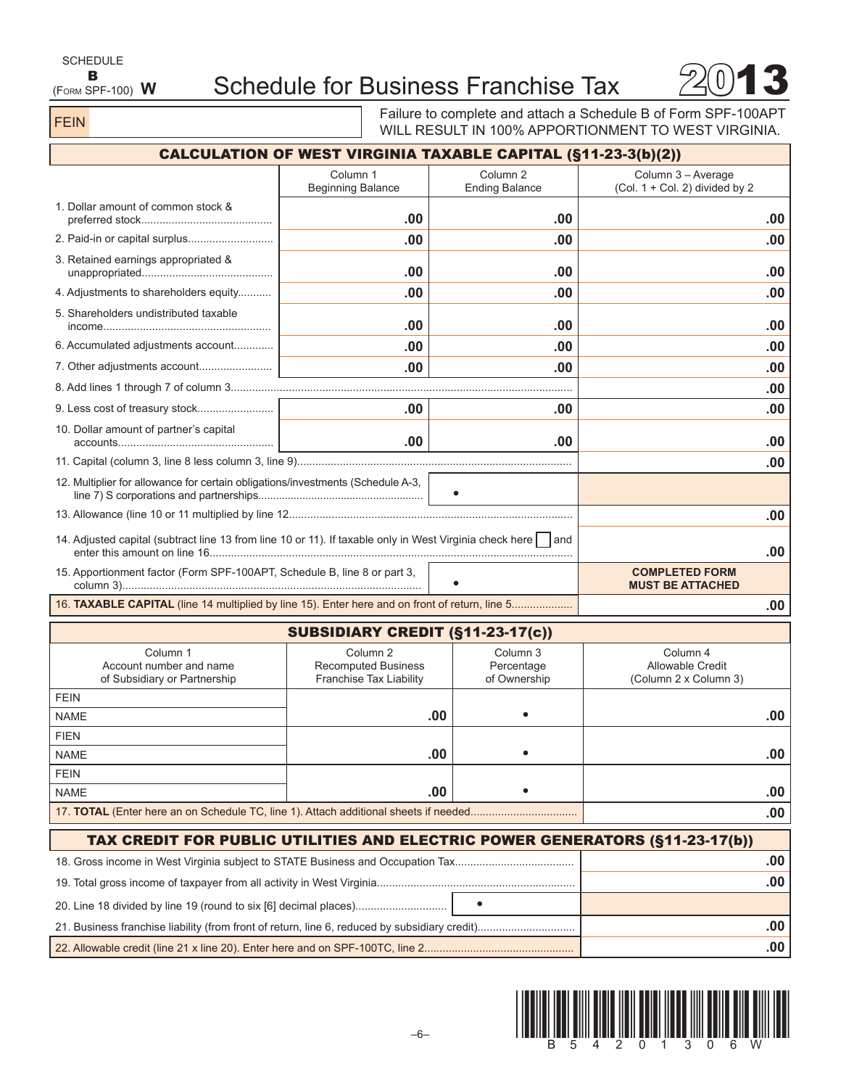| SCHEDULE           |  |
|--------------------|--|
| в                  |  |
| (FORM SPF-100) $W$ |  |

# Schedule for Business Franchise Tax 2013



|--|

Г

Failure to complete and attach a Schedule B of Form SPF-100APT WILL RESULT IN 100% APPORTIONMENT TO WEST VIRGINIA.

| <b>CALCULATION OF WEST VIRGINIA TAXABLE CAPITAL (§11-23-3(b)(2))</b>                                          |                                                  |                                              |                                                        |  |  |  |  |
|---------------------------------------------------------------------------------------------------------------|--------------------------------------------------|----------------------------------------------|--------------------------------------------------------|--|--|--|--|
|                                                                                                               | Column <sub>1</sub><br><b>Beginning Balance</b>  | Column <sub>2</sub><br><b>Ending Balance</b> | Column 3 - Average<br>$(Col. 1 + Col. 2)$ divided by 2 |  |  |  |  |
| 1. Dollar amount of common stock &                                                                            | .00                                              | .00                                          | .00                                                    |  |  |  |  |
|                                                                                                               | .00                                              | .00                                          | .00                                                    |  |  |  |  |
| 3. Retained earnings appropriated &                                                                           | .00                                              | .00                                          | .00                                                    |  |  |  |  |
| 4. Adjustments to shareholders equity                                                                         | .00                                              | .00                                          | .00                                                    |  |  |  |  |
| 5. Shareholders undistributed taxable                                                                         | .00                                              | .00                                          | .00                                                    |  |  |  |  |
| 6. Accumulated adjustments account                                                                            | .00                                              | .00                                          | .00                                                    |  |  |  |  |
|                                                                                                               | .00                                              | .00                                          | .00                                                    |  |  |  |  |
|                                                                                                               |                                                  |                                              | .00                                                    |  |  |  |  |
|                                                                                                               | .00                                              | .00                                          | .00                                                    |  |  |  |  |
| 10. Dollar amount of partner's capital                                                                        | $.00 \,$                                         | .00                                          | .00                                                    |  |  |  |  |
|                                                                                                               |                                                  |                                              | .00                                                    |  |  |  |  |
| 12. Multiplier for allowance for certain obligations/investments (Schedule A-3,                               |                                                  |                                              |                                                        |  |  |  |  |
|                                                                                                               | .00                                              |                                              |                                                        |  |  |  |  |
| 14. Adjusted capital (subtract line 13 from line 10 or 11). If taxable only in West Virginia check here   and | .00                                              |                                              |                                                        |  |  |  |  |
| 15. Apportionment factor (Form SPF-100APT, Schedule B, line 8 or part 3,                                      | <b>COMPLETED FORM</b><br><b>MUST BE ATTACHED</b> |                                              |                                                        |  |  |  |  |
| 16. TAXABLE CAPITAL (line 14 multiplied by line 15). Enter here and on front of return, line 5                |                                                  |                                              | .00                                                    |  |  |  |  |

#### SUBSIDIARY CREDIT (§11-23-17(c))

| Column 2<br><b>Recomputed Business</b><br>Franchise Tax Liability | Column 3<br>Percentage<br>of Ownership | Column 4<br><b>Allowable Credit</b><br>(Column 2 x Column 3) |  |  |  |  |
|-------------------------------------------------------------------|----------------------------------------|--------------------------------------------------------------|--|--|--|--|
|                                                                   |                                        |                                                              |  |  |  |  |
| .00                                                               |                                        | .00                                                          |  |  |  |  |
|                                                                   |                                        |                                                              |  |  |  |  |
| .00                                                               |                                        | .00                                                          |  |  |  |  |
|                                                                   |                                        |                                                              |  |  |  |  |
| .00                                                               |                                        | .00                                                          |  |  |  |  |
|                                                                   |                                        |                                                              |  |  |  |  |
|                                                                   |                                        |                                                              |  |  |  |  |

| <b>TAX CREDIT FOR PUBLIC UTILITIES AND ELECTRIC POWER GENERATORS (§11-23-17(b))</b> |     |  |  |  |  |  |  |  |
|-------------------------------------------------------------------------------------|-----|--|--|--|--|--|--|--|
|                                                                                     |     |  |  |  |  |  |  |  |
|                                                                                     |     |  |  |  |  |  |  |  |
|                                                                                     |     |  |  |  |  |  |  |  |
|                                                                                     | .00 |  |  |  |  |  |  |  |
|                                                                                     |     |  |  |  |  |  |  |  |

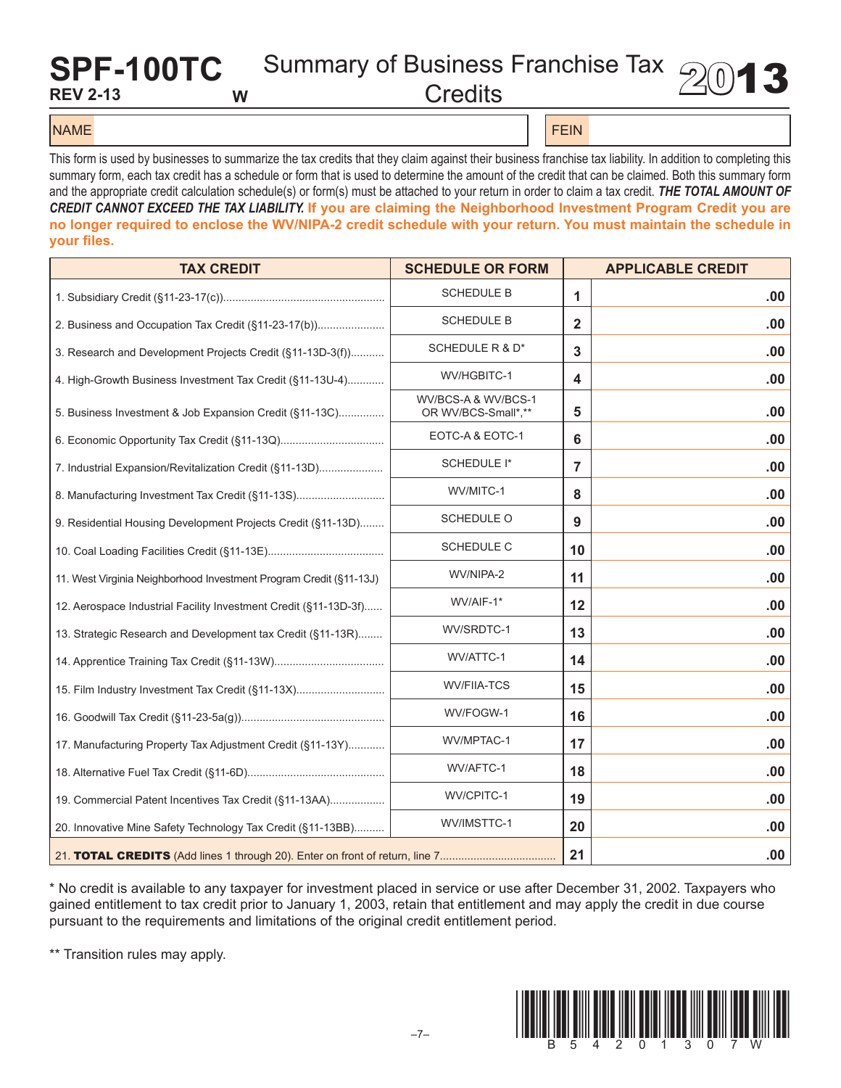## **SPF-100TC REV 2-13 W**

Summary of Business Franchise Tax 2013

#### NAME FEIN AND RESERVE THE SERVE THAT IS A REPORT OF THE SERVE THAT IS A REPORT OF THE SERVE THAT IS A REPORT OF THE SERVE THAT IS A REPORT OF THE SERVE THAT IS A REPORT OF THE SERVE THAT IS A REPORT OF THE SERVE THAT IS A

This form is used by businesses to summarize the tax credits that they claim against their business franchise tax liability. In addition to completing this summary form, each tax credit has a schedule or form that is used to determine the amount of the credit that can be claimed. Both this summary form and the appropriate credit calculation schedule(s) or form(s) must be attached to your return in order to claim a tax credit. *THE TOTAL AMOUNT OF CREDIT CANNOT EXCEED THE TAX LIABILITY.* **If you are claiming the Neighborhood Investment Program Credit you are no longer required to enclose the WV/NIPA-2 credit schedule with your return. You must maintain the schedule in your files.**

| <b>TAX CREDIT</b>                                                  | <b>SCHEDULE OR FORM</b>                    |                | <b>APPLICABLE CREDIT</b> |
|--------------------------------------------------------------------|--------------------------------------------|----------------|--------------------------|
|                                                                    | <b>SCHEDULE B</b>                          | 1              | .00                      |
| 2. Business and Occupation Tax Credit (§11-23-17(b))               | <b>SCHEDULE B</b>                          | $\overline{2}$ | .00                      |
| 3. Research and Development Projects Credit (§11-13D-3(f))         | SCHEDULE R & D*                            | 3              | .00                      |
| 4. High-Growth Business Investment Tax Credit (§11-13U-4)          | WV/HGBITC-1                                | 4              | .00                      |
| 5. Business Investment & Job Expansion Credit (§11-13C)            | WV/BCS-A & WV/BCS-1<br>OR WV/BCS-Small*,** | 5              | .00                      |
|                                                                    | EOTC-A & EOTC-1                            | 6              | .00                      |
| 7. Industrial Expansion/Revitalization Credit (§11-13D)            | SCHEDULE I*                                | 7              | .00                      |
| 8. Manufacturing Investment Tax Credit (§11-13S)                   | WV/MITC-1                                  | 8              | .00                      |
| 9. Residential Housing Development Projects Credit (§11-13D)       | <b>SCHEDULE O</b>                          | 9              | .00                      |
|                                                                    | <b>SCHEDULE C</b>                          | 10             | .00                      |
| 11. West Virginia Neighborhood Investment Program Credit (§11-13J) | WV/NIPA-2                                  | 11             | .00                      |
| 12. Aerospace Industrial Facility Investment Credit (§11-13D-3f)   | WV/AIF-1*                                  | 12             | .00                      |
| 13. Strategic Research and Development tax Credit (§11-13R)        | WV/SRDTC-1                                 | 13             | .00                      |
|                                                                    | WV/ATTC-1                                  | 14             | .00                      |
| 15. Film Industry Investment Tax Credit (§11-13X)                  | <b>WV/FIIA-TCS</b>                         | 15             | .00                      |
|                                                                    | WV/FOGW-1                                  | 16             | .00                      |
| 17. Manufacturing Property Tax Adjustment Credit (§11-13Y)         | WV/MPTAC-1                                 | 17             | .00                      |
|                                                                    | WV/AFTC-1                                  | 18             | .00                      |
| 19. Commercial Patent Incentives Tax Credit (§11-13AA)             | WV/CPITC-1                                 | 19             | .00                      |
| 20. Innovative Mine Safety Technology Tax Credit (§11-13BB)        | WV/IMSTTC-1                                | 20             | .00                      |
|                                                                    |                                            | 21             | .00                      |

\* No credit is available to any taxpayer for investment placed in service or use after December 31, 2002. Taxpayers who gained entitlement to tax credit prior to January 1, 2003, retain that entitlement and may apply the credit in due course pursuant to the requirements and limitations of the original credit entitlement period.

\*\* Transition rules may apply.

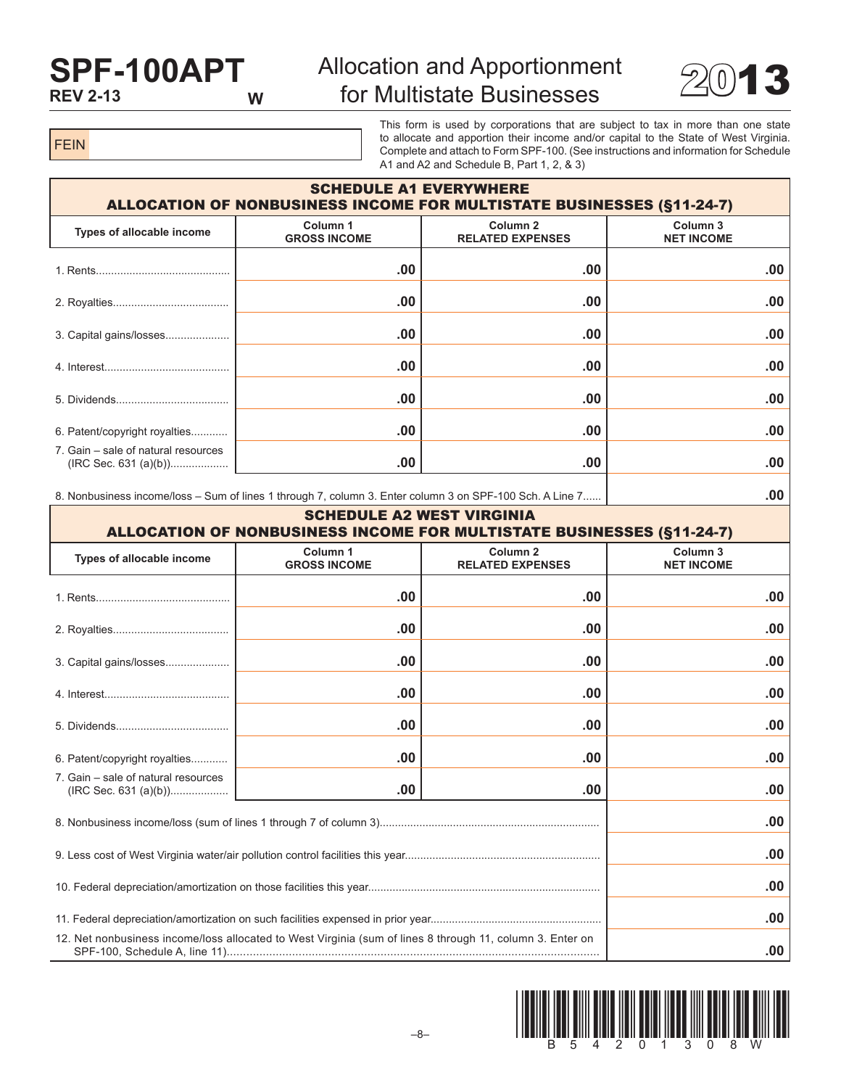### **SPF-100APT REV 2-13**

# Allocation and Apportionment for Multistate Businesses  $2013$



FEIN

This form is used by corporations that are subject to tax in more than one state to allocate and apportion their income and/or capital to the State of West Virginia. Complete and attach to Form SPF-100. (See instructions and information for Schedule A1 and A2 and Schedule B, Part 1, 2, & 3)

| <b>SCHEDULE A1 EVERYWHERE</b><br><b>ALLOCATION OF NONBUSINESS INCOME FOR MULTISTATE BUSINESSES (§11-24-7)</b> |                                 |                                                |                                          |  |  |  |  |  |  |
|---------------------------------------------------------------------------------------------------------------|---------------------------------|------------------------------------------------|------------------------------------------|--|--|--|--|--|--|
| Types of allocable income                                                                                     | Column 1<br><b>GROSS INCOME</b> | Column <sub>2</sub><br><b>RELATED EXPENSES</b> | Column <sub>3</sub><br><b>NET INCOME</b> |  |  |  |  |  |  |
|                                                                                                               | .00.                            | .00                                            | $.00 \,$                                 |  |  |  |  |  |  |
|                                                                                                               | .00.                            | .00                                            | .00                                      |  |  |  |  |  |  |
| 3. Capital gains/losses                                                                                       | .00                             | .00                                            | .00                                      |  |  |  |  |  |  |
|                                                                                                               | .00                             | .00                                            | .00                                      |  |  |  |  |  |  |
| 5. Dividends                                                                                                  | .00                             | .00                                            | .00                                      |  |  |  |  |  |  |
| 6. Patent/copyright royalties                                                                                 | .00                             | .00                                            | .00                                      |  |  |  |  |  |  |
| 7. Gain – sale of natural resources                                                                           | .00                             | .00                                            | .00                                      |  |  |  |  |  |  |

8. Nonbusiness income/loss – Sum of lines 1 through 7, column 3. Enter column 3 on SPF-100 Sch. A Line 7...... **.00**

| <b>SCHEDULE A2 WEST VIRGINIA</b><br><b>ALLOCATION OF NONBUSINESS INCOME FOR MULTISTATE BUSINESSES (§11-24-7)</b> |                                                                                                           |                                                |                                          |  |  |  |  |  |  |  |
|------------------------------------------------------------------------------------------------------------------|-----------------------------------------------------------------------------------------------------------|------------------------------------------------|------------------------------------------|--|--|--|--|--|--|--|
| Types of allocable income                                                                                        | Column <sub>1</sub><br><b>GROSS INCOME</b>                                                                | Column <sub>2</sub><br><b>RELATED EXPENSES</b> | Column <sub>3</sub><br><b>NET INCOME</b> |  |  |  |  |  |  |  |
|                                                                                                                  | .00                                                                                                       | .00                                            | .00                                      |  |  |  |  |  |  |  |
|                                                                                                                  | .00.                                                                                                      | .00                                            | .00                                      |  |  |  |  |  |  |  |
| 3. Capital gains/losses                                                                                          | .00.                                                                                                      | .00                                            | .00                                      |  |  |  |  |  |  |  |
|                                                                                                                  | .00                                                                                                       | .00                                            | .00                                      |  |  |  |  |  |  |  |
|                                                                                                                  | .00.                                                                                                      | .00                                            | .00                                      |  |  |  |  |  |  |  |
| 6. Patent/copyright royalties                                                                                    | .00.                                                                                                      | .00                                            | .00                                      |  |  |  |  |  |  |  |
| 7. Gain – sale of natural resources<br>$(IRC Sec. 631 (a)(b))$                                                   | .00                                                                                                       | .00                                            | .00                                      |  |  |  |  |  |  |  |
|                                                                                                                  |                                                                                                           |                                                | .00                                      |  |  |  |  |  |  |  |
|                                                                                                                  |                                                                                                           |                                                | .00                                      |  |  |  |  |  |  |  |
|                                                                                                                  |                                                                                                           | .00                                            |                                          |  |  |  |  |  |  |  |
|                                                                                                                  |                                                                                                           |                                                | .00                                      |  |  |  |  |  |  |  |
|                                                                                                                  | 12. Net nonbusiness income/loss allocated to West Virginia (sum of lines 8 through 11, column 3. Enter on |                                                |                                          |  |  |  |  |  |  |  |

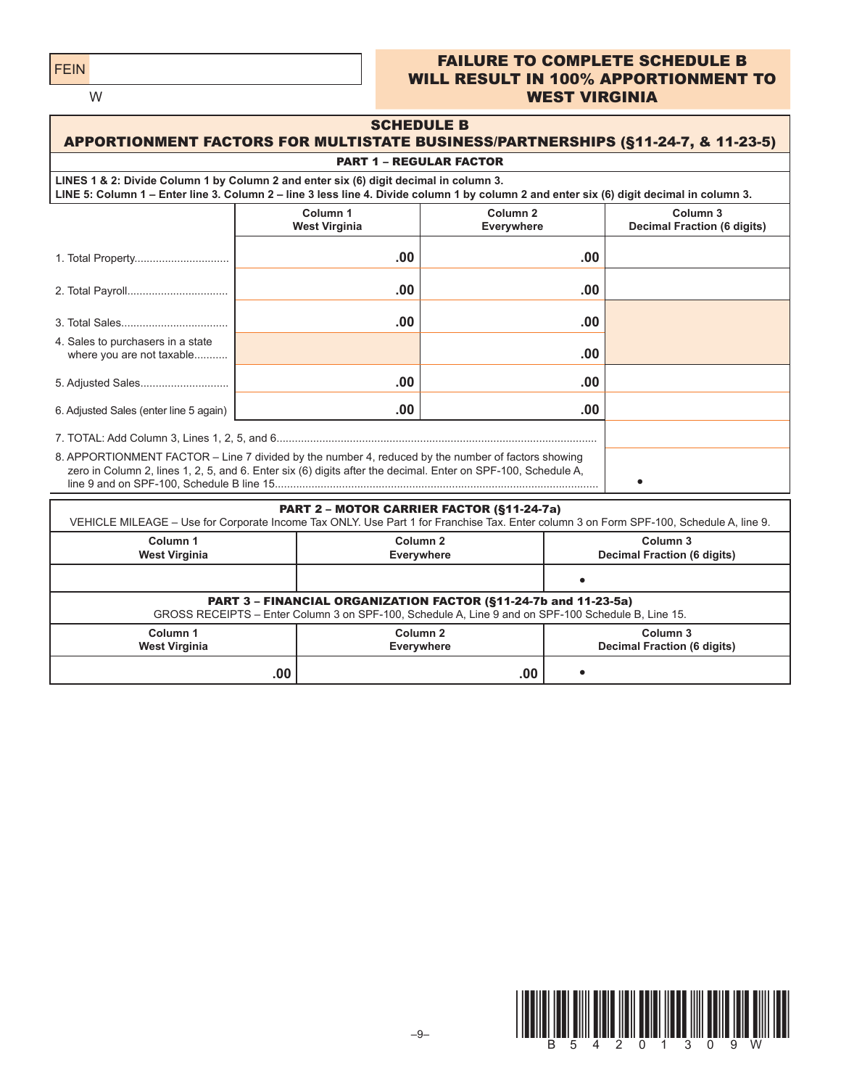FEIN

W

#### FAILURE TO COMPLETE SCHEDULE B WILL RESULT IN 100% APPORTIONMENT TO WEST VIRGINIA

| <b>SCHEDULE B</b><br><b>APPORTIONMENT FACTORS FOR MULTISTATE BUSINESS/PARTNERSHIPS (§11-24-7, &amp; 11-23-5)</b>                                                                                                                  |                                             |                                                                                                                                                                  |                                                           |  |  |  |  |  |  |  |
|-----------------------------------------------------------------------------------------------------------------------------------------------------------------------------------------------------------------------------------|---------------------------------------------|------------------------------------------------------------------------------------------------------------------------------------------------------------------|-----------------------------------------------------------|--|--|--|--|--|--|--|
| <b>PART 1 - REGULAR FACTOR</b>                                                                                                                                                                                                    |                                             |                                                                                                                                                                  |                                                           |  |  |  |  |  |  |  |
| LINES 1 & 2: Divide Column 1 by Column 2 and enter six (6) digit decimal in column 3.<br>LINE 5: Column 1 - Enter line 3. Column 2 - line 3 less line 4. Divide column 1 by column 2 and enter six (6) digit decimal in column 3. |                                             |                                                                                                                                                                  |                                                           |  |  |  |  |  |  |  |
|                                                                                                                                                                                                                                   | Column <sub>1</sub><br><b>West Virginia</b> | Column <sub>2</sub><br>Everywhere                                                                                                                                | Column <sub>3</sub><br><b>Decimal Fraction (6 digits)</b> |  |  |  |  |  |  |  |
|                                                                                                                                                                                                                                   | .00                                         | .00                                                                                                                                                              |                                                           |  |  |  |  |  |  |  |
|                                                                                                                                                                                                                                   | .00                                         | .00                                                                                                                                                              |                                                           |  |  |  |  |  |  |  |
|                                                                                                                                                                                                                                   | .00                                         | .00                                                                                                                                                              |                                                           |  |  |  |  |  |  |  |
| 4. Sales to purchasers in a state<br>where you are not taxable                                                                                                                                                                    |                                             | .00                                                                                                                                                              |                                                           |  |  |  |  |  |  |  |
| 5. Adjusted Sales                                                                                                                                                                                                                 | .00                                         | .00                                                                                                                                                              |                                                           |  |  |  |  |  |  |  |
| 6. Adjusted Sales (enter line 5 again)                                                                                                                                                                                            | .00                                         | .00                                                                                                                                                              |                                                           |  |  |  |  |  |  |  |
|                                                                                                                                                                                                                                   |                                             |                                                                                                                                                                  |                                                           |  |  |  |  |  |  |  |
| 8. APPORTIONMENT FACTOR - Line 7 divided by the number 4, reduced by the number of factors showing<br>zero in Column 2, lines 1, 2, 5, and 6. Enter six (6) digits after the decimal. Enter on SPF-100, Schedule A,               |                                             |                                                                                                                                                                  |                                                           |  |  |  |  |  |  |  |
|                                                                                                                                                                                                                                   | PART 2 - MOTOR CARRIER FACTOR (§11-24-7a)   | VEHICLE MILEAGE - Use for Corporate Income Tax ONLY. Use Part 1 for Franchise Tax. Enter column 3 on Form SPF-100, Schedule A, line 9.                           |                                                           |  |  |  |  |  |  |  |
| Column 1<br><b>West Virginia</b>                                                                                                                                                                                                  | Column <sub>2</sub><br><b>Everywhere</b>    |                                                                                                                                                                  | Column 3<br><b>Decimal Fraction (6 digits)</b>            |  |  |  |  |  |  |  |
|                                                                                                                                                                                                                                   |                                             |                                                                                                                                                                  |                                                           |  |  |  |  |  |  |  |
|                                                                                                                                                                                                                                   |                                             | PART 3 - FINANCIAL ORGANIZATION FACTOR (§11-24-7b and 11-23-5a)<br>CDOCC DECEIDEC Enter Column 2 on CDE 100 Cohodule A Line 0 and an CDE 100 Cohodule D. Line 15 |                                                           |  |  |  |  |  |  |  |

PART 3 – FINANCIAL ORGANIZATION FACTOR (§11-24-7b and 11-23-5a)

| GROSS RECEIPTS – Enter Column 3 on SPF-100, Schedule A, Line 9 and on SPF-100 Schedule B, Line 15. |            |                             |  |  |  |  |  |
|----------------------------------------------------------------------------------------------------|------------|-----------------------------|--|--|--|--|--|
| Column 1                                                                                           | Column 3   |                             |  |  |  |  |  |
| <b>West Virginia</b>                                                                               | Evervwhere | Decimal Fraction (6 digits) |  |  |  |  |  |
| .00                                                                                                | .00.       |                             |  |  |  |  |  |

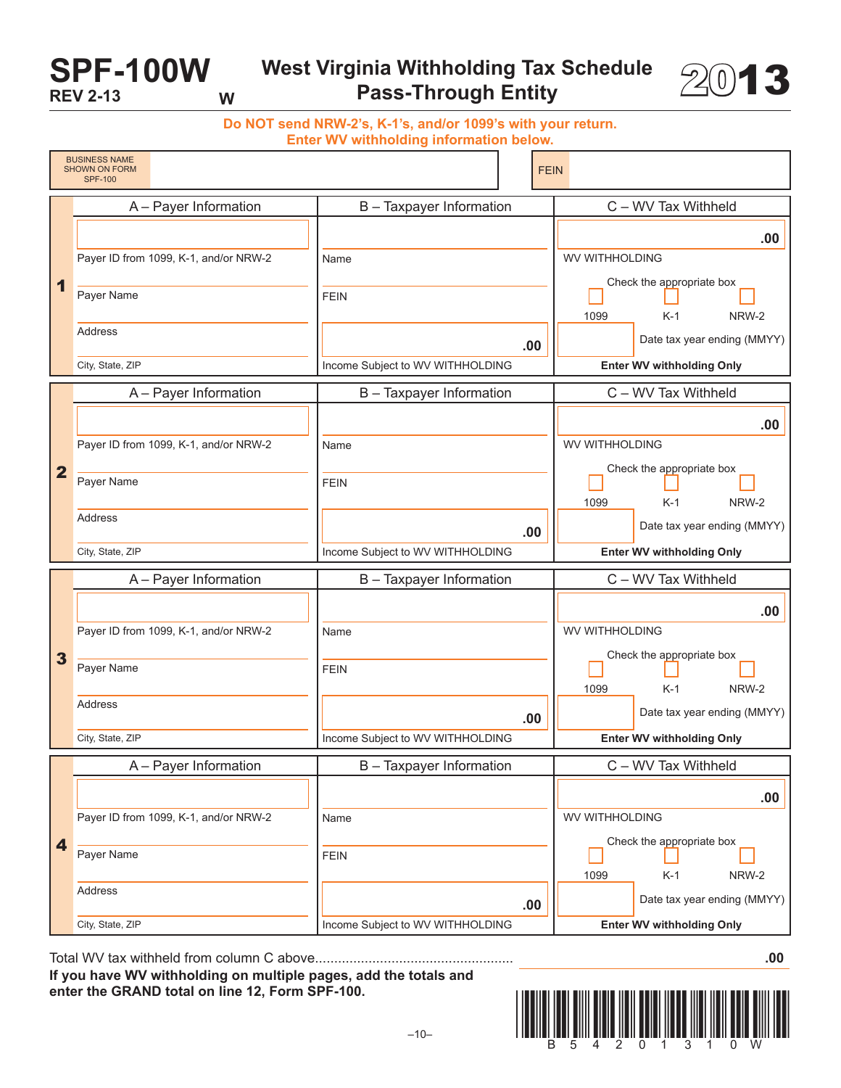### **SPF-100W REV 2-13 W**

**West Virginia Withholding Tax Schedule Pass-Through Entity** 2013



**Do NOT send NRW-2's, K-1's, and/or 1099's with your return. Enter WV withholding information below.**

|                         | <b>BUSINESS NAME</b><br><b>SHOWN ON FORM</b><br><b>SPF-100</b> | <b>FEIN</b>                             |                                                     |  |  |
|-------------------------|----------------------------------------------------------------|-----------------------------------------|-----------------------------------------------------|--|--|
|                         | A - Payer Information                                          | B - Taxpayer Information                | C - WV Tax Withheld                                 |  |  |
|                         |                                                                |                                         | .00                                                 |  |  |
|                         | Payer ID from 1099, K-1, and/or NRW-2                          | Name                                    | <b>WV WITHHOLDING</b>                               |  |  |
| 1                       | Payer Name                                                     | <b>FEIN</b>                             | Check the appropriate box<br>1099<br>$K-1$<br>NRW-2 |  |  |
|                         | Address                                                        | .00                                     | Date tax year ending (MMYY)                         |  |  |
|                         | City, State, ZIP                                               | Income Subject to WV WITHHOLDING        | <b>Enter WV withholding Only</b>                    |  |  |
|                         | A - Payer Information                                          | B - Taxpayer Information                | C - WV Tax Withheld                                 |  |  |
|                         |                                                                |                                         | .00                                                 |  |  |
|                         | Payer ID from 1099, K-1, and/or NRW-2                          | Name                                    | WV WITHHOLDING                                      |  |  |
| $\overline{\mathbf{2}}$ | Payer Name                                                     | <b>FEIN</b>                             | Check the appropriate box<br>1099<br>$K-1$<br>NRW-2 |  |  |
|                         | Address                                                        | .00                                     | Date tax year ending (MMYY)                         |  |  |
|                         | City, State, ZIP                                               | Income Subject to WV WITHHOLDING        | <b>Enter WV withholding Only</b>                    |  |  |
|                         | A - Payer Information                                          | B - Taxpayer Information                | C - WV Tax Withheld                                 |  |  |
|                         |                                                                |                                         |                                                     |  |  |
|                         |                                                                |                                         | .00                                                 |  |  |
|                         | Payer ID from 1099, K-1, and/or NRW-2                          | Name                                    | WV WITHHOLDING                                      |  |  |
| 3                       | Payer Name                                                     | <b>FEIN</b>                             | Check the appropriate box<br>$K-1$<br>NRW-2         |  |  |
|                         | Address                                                        |                                         | 1099<br>Date tax year ending (MMYY)                 |  |  |
|                         | City, State, ZIP                                               | .00<br>Income Subject to WV WITHHOLDING | <b>Enter WV withholding Only</b>                    |  |  |
|                         | A - Payer Information                                          | B - Taxpayer Information                | C - WV Tax Withheld                                 |  |  |
|                         |                                                                |                                         | .00.                                                |  |  |
|                         | Payer ID from 1099, K-1, and/or NRW-2                          | Name                                    | WV WITHHOLDING                                      |  |  |
| 4                       | Payer Name                                                     | <b>FEIN</b>                             | Check the appropriate box<br>$K-1$                  |  |  |
|                         | Address                                                        | .00                                     | 1099<br>NRW-2<br>Date tax year ending (MMYY)        |  |  |

 $-10-$ 

Total WV tax withheld from column C above.................................................... **.00**

**If you have WV withholding on multiple pages, add the totals and enter the GRAND total on line 12, Form SPF-100.**

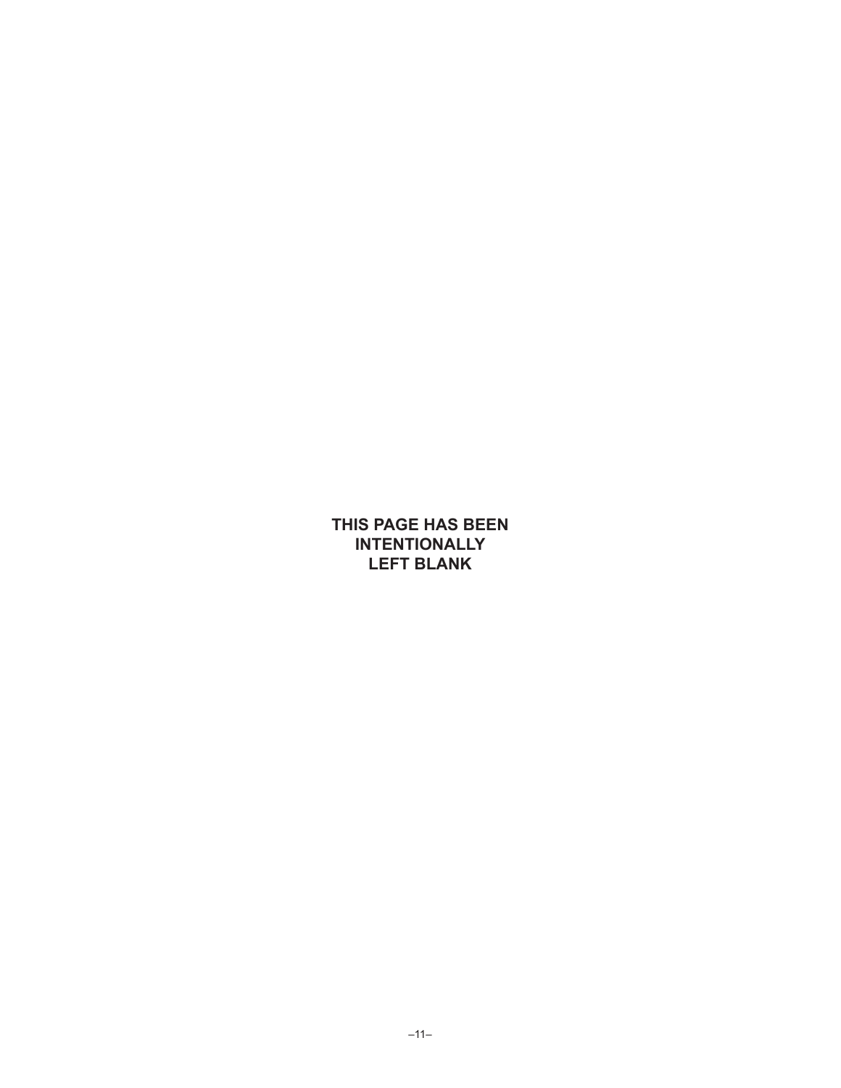#### **THIS PAGE HAS BEEN INTENTIONALLY LEFT BLANK**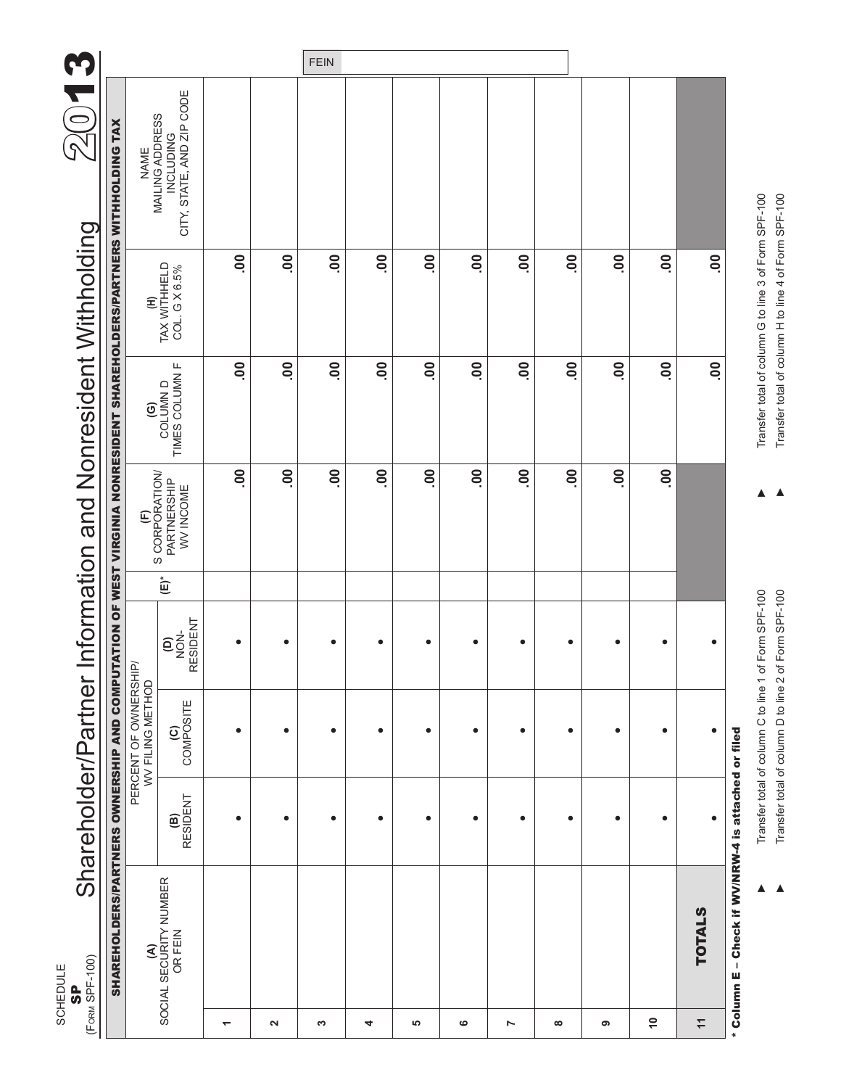| M                                      |                                                                                                                           |                                           |                                               |                          |                           | <b>FEIN</b>                                          |                |           |           |           |           |                |                |                |   |           |  |
|----------------------------------------|---------------------------------------------------------------------------------------------------------------------------|-------------------------------------------|-----------------------------------------------|--------------------------|---------------------------|------------------------------------------------------|----------------|-----------|-----------|-----------|-----------|----------------|----------------|----------------|---|-----------|--|
| $\bigodot$<br>໌ຈົ                      |                                                                                                                           | NAILING ADDRESS<br>MAILING ADDRESS        | CITY, STATE, AND ZIP CODE<br><b>INCLUDING</b> |                          |                           |                                                      |                |           |           |           |           |                |                |                |   |           |  |
|                                        |                                                                                                                           | E                                         | TAX WITHHELD<br>COL. G X 6.5%                 | 00                       | $\overline{0}$            | 8                                                    | 00             | 00        | 8         | 8         | OO.       | 00             | 00             | OO.            |   |           |  |
|                                        |                                                                                                                           |                                           | TIMES COLUMN F<br>COLUMN D                    | 8                        | 00                        | 8                                                    | $\overline{0}$ | 00.       | 8         | 8         | OO.       | 00             | 00.            | OO.            |   |           |  |
| nformation and Nonresident Withholding |                                                                                                                           | E                                         | S CORPORATION/<br>PARTNERSHIP<br>WV INCOME    | 00                       | $\overline{0}$            | 8                                                    | 00             | 00        | 8         | 8         | OO.       | $\overline{0}$ | OO.            |                |   |           |  |
|                                        |                                                                                                                           |                                           | $\stackrel{*}{(\mathsf{E})}$                  |                          |                           |                                                      |                |           |           |           |           |                |                |                |   |           |  |
|                                        |                                                                                                                           |                                           |                                               |                          |                           | RESIDENT<br>$\widehat{\mathsf{e}}_\mathsf{S}^\sharp$ |                | $\bullet$ | $\bullet$ | $\bullet$ | $\bullet$ |                |                | $\bullet$      | ٠ | $\bullet$ |  |
| Shareholder/Partner I                  |                                                                                                                           | PERCENT OF OWNERSHIP/<br>WV FILING METHOD | COMPOSITE                                     |                          | ٠                         | $\bullet$                                            | $\bullet$      | $\bullet$ | $\bullet$ |           | $\bullet$ | $\bullet$      | $\bullet$      |                |   |           |  |
|                                        |                                                                                                                           |                                           | <b>RESIDENT</b><br>©                          | $\bullet$                | $\bullet$                 | $\bullet$                                            | $\bullet$      | $\bullet$ | $\bullet$ |           | $\bullet$ | $\bullet$      | $\bullet$      |                |   |           |  |
| (FORM SPF-100)<br>တွ                   | SHAREHOLDERS/PARTNERS OWNERS OWNERSHIP AND COMPUTATION OF WEST VIRGINIA NONRESIDENT SHAREHOLDERS/PARTNERS WITHHOLDING TAX | $\widehat{\mathcal{E}}$                   | SOCIAL SECURITY NUMBER<br><b>ORFEIN</b>       |                          |                           |                                                      |                |           |           |           |           |                |                | <b>TOTALS</b>  |   |           |  |
|                                        |                                                                                                                           |                                           |                                               | $\overline{\phantom{0}}$ | $\boldsymbol{\mathsf{N}}$ | S                                                    | 4              | LO.       | ဖ         | N         | $\infty$  | ၈              | $\overline{a}$ | $\overline{r}$ |   |           |  |

Transfer total of column G to line 3 of Form SPF-100 Transfer total of column H to line 4 of Form SPF-100 Transfer total of column C to line 1 of Form SPF-100 ► Transfer total of column G to line 3 of Form SPF-100

 $\triangle$   $\triangle$ 

 Transfer total of column D to line 2 of Form SPF-100 ► Transfer total of column H to line 4 of Form SPF-100 Transfer total of column C to line 1 of Form SPF-100 Transfer total of column D to line 2 of Form SPF-100

►►

\* Column E - Check if WV/NRW-4 is attached or filed \* Column E – Check if WV/NRW-4 is attached or filed

SCHEDULE

SCHEDULE

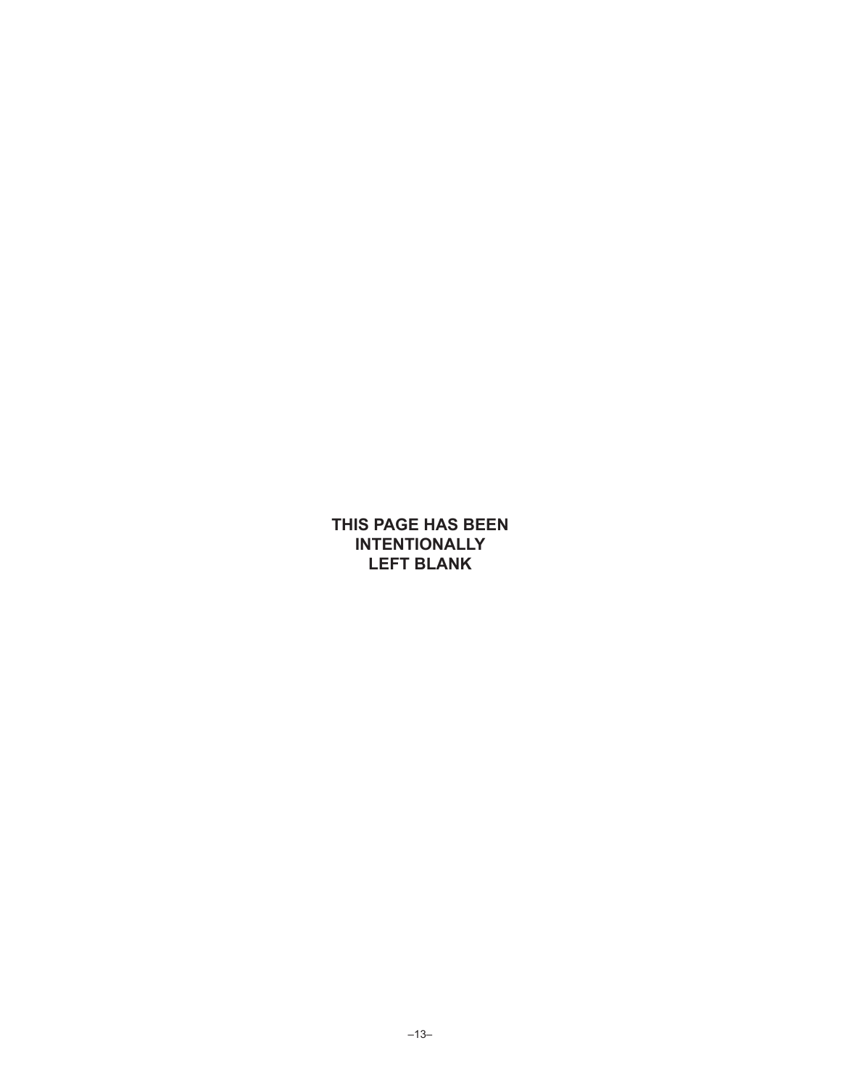#### **THIS PAGE HAS BEEN INTENTIONALLY LEFT BLANK**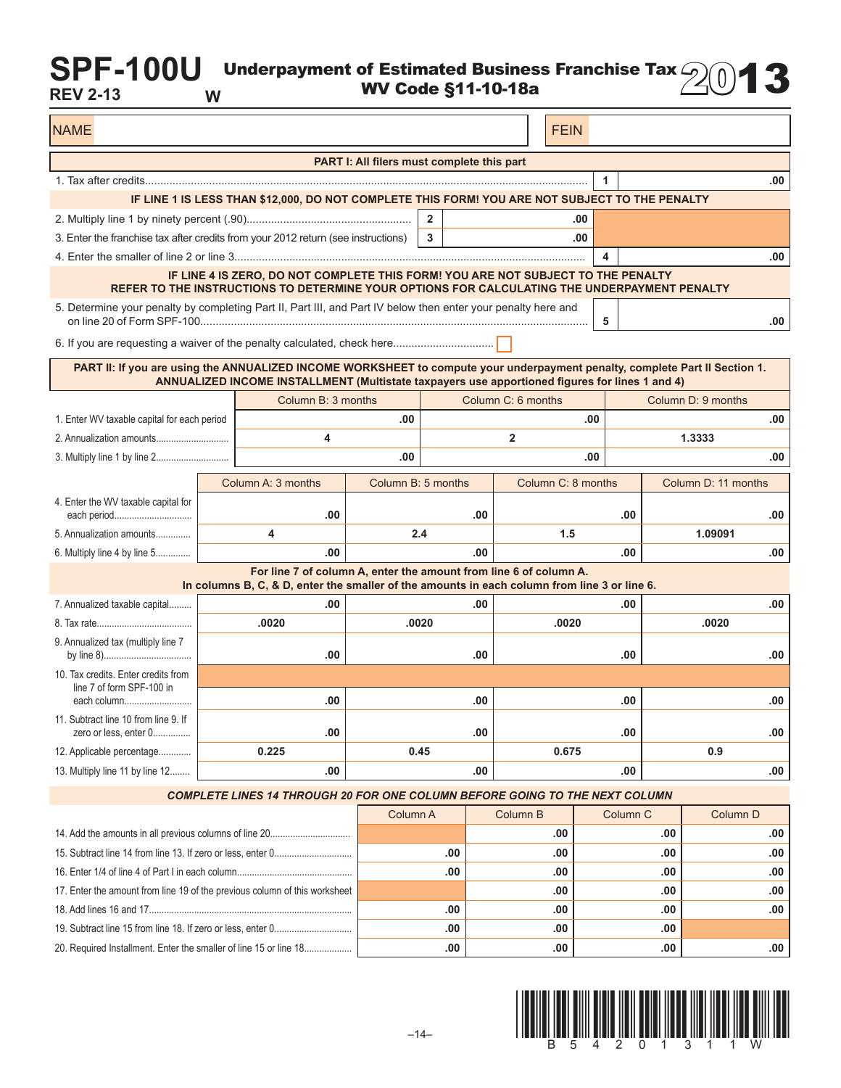# **SPF-100U**

# Underpayment of Estimated Business Franchise Tax  $\approx$  2013

| <b>REV 2-13</b>                                                                                                                                                                                                               | W                                                                                                                                                                                |                                                                                                                                                                   |                                            |                    |     |                    |             |         |                     |                    |      |
|-------------------------------------------------------------------------------------------------------------------------------------------------------------------------------------------------------------------------------|----------------------------------------------------------------------------------------------------------------------------------------------------------------------------------|-------------------------------------------------------------------------------------------------------------------------------------------------------------------|--------------------------------------------|--------------------|-----|--------------------|-------------|---------|---------------------|--------------------|------|
| <b>NAME</b>                                                                                                                                                                                                                   |                                                                                                                                                                                  |                                                                                                                                                                   |                                            |                    |     |                    | <b>FEIN</b> |         |                     |                    |      |
|                                                                                                                                                                                                                               |                                                                                                                                                                                  |                                                                                                                                                                   | PART I: All filers must complete this part |                    |     |                    |             |         |                     |                    |      |
|                                                                                                                                                                                                                               | .00.<br>1                                                                                                                                                                        |                                                                                                                                                                   |                                            |                    |     |                    |             |         |                     |                    |      |
|                                                                                                                                                                                                                               |                                                                                                                                                                                  | IF LINE 1 IS LESS THAN \$12,000, DO NOT COMPLETE THIS FORM! YOU ARE NOT SUBJECT TO THE PENALTY                                                                    |                                            |                    |     |                    |             |         |                     |                    |      |
| $\overline{2}$<br>.00                                                                                                                                                                                                         |                                                                                                                                                                                  |                                                                                                                                                                   |                                            |                    |     |                    |             |         |                     |                    |      |
| 3. Enter the franchise tax after credits from your 2012 return (see instructions)                                                                                                                                             |                                                                                                                                                                                  |                                                                                                                                                                   |                                            | $\mathbf{3}$       |     |                    |             | .00     |                     |                    |      |
|                                                                                                                                                                                                                               |                                                                                                                                                                                  |                                                                                                                                                                   |                                            |                    |     |                    |             |         |                     |                    | .00. |
|                                                                                                                                                                                                                               | IF LINE 4 IS ZERO, DO NOT COMPLETE THIS FORM! YOU ARE NOT SUBJECT TO THE PENALTY<br>REFER TO THE INSTRUCTIONS TO DETERMINE YOUR OPTIONS FOR CALCULATING THE UNDERPAYMENT PENALTY |                                                                                                                                                                   |                                            |                    |     |                    |             |         |                     |                    |      |
| 5. Determine your penalty by completing Part II, Part III, and Part IV below then enter your penalty here and                                                                                                                 |                                                                                                                                                                                  |                                                                                                                                                                   |                                            |                    |     |                    |             | 5       |                     |                    | .00. |
|                                                                                                                                                                                                                               |                                                                                                                                                                                  |                                                                                                                                                                   |                                            |                    |     |                    |             |         |                     |                    |      |
| PART II: If you are using the ANNUALIZED INCOME WORKSHEET to compute your underpayment penalty, complete Part II Section 1.<br>ANNUALIZED INCOME INSTALLMENT (Multistate taxpayers use apportioned figures for lines 1 and 4) |                                                                                                                                                                                  |                                                                                                                                                                   |                                            |                    |     |                    |             |         |                     |                    |      |
|                                                                                                                                                                                                                               |                                                                                                                                                                                  | Column B: 3 months                                                                                                                                                |                                            |                    |     | Column C: 6 months |             |         |                     | Column D: 9 months |      |
| 1. Enter WV taxable capital for each period                                                                                                                                                                                   |                                                                                                                                                                                  |                                                                                                                                                                   | .00                                        |                    |     |                    |             | .00     |                     |                    | .00  |
|                                                                                                                                                                                                                               |                                                                                                                                                                                  | 4                                                                                                                                                                 |                                            |                    |     | $\mathbf{2}$       |             |         |                     | 1.3333             |      |
|                                                                                                                                                                                                                               |                                                                                                                                                                                  |                                                                                                                                                                   | .00                                        | .00                |     |                    |             | .00     |                     |                    |      |
|                                                                                                                                                                                                                               |                                                                                                                                                                                  | Column A: 3 months                                                                                                                                                |                                            | Column B: 5 months |     | Column C: 8 months |             |         | Column D: 11 months |                    |      |
| 4. Enter the WV taxable capital for                                                                                                                                                                                           |                                                                                                                                                                                  | .00                                                                                                                                                               | .00                                        |                    |     |                    | .00         |         | .00                 |                    |      |
| 5. Annualization amounts                                                                                                                                                                                                      |                                                                                                                                                                                  | 4                                                                                                                                                                 | 2.4                                        |                    | 1.5 |                    |             | 1.09091 |                     |                    |      |
| 6. Multiply line 4 by line 5                                                                                                                                                                                                  |                                                                                                                                                                                  | .00                                                                                                                                                               |                                            |                    | .00 |                    |             |         | .00                 |                    |      |
|                                                                                                                                                                                                                               |                                                                                                                                                                                  | For line 7 of column A, enter the amount from line 6 of column A.<br>In columns B, C, & D, enter the smaller of the amounts in each column from line 3 or line 6. |                                            |                    |     |                    |             |         |                     |                    |      |
| 7. Annualized taxable capital                                                                                                                                                                                                 |                                                                                                                                                                                  | .00                                                                                                                                                               |                                            |                    | .00 |                    |             |         | .00                 |                    | .00  |
|                                                                                                                                                                                                                               |                                                                                                                                                                                  | .0020                                                                                                                                                             |                                            | .0020              |     |                    | .0020       |         |                     | .0020              |      |
| 9. Annualized tax (multiply line 7                                                                                                                                                                                            |                                                                                                                                                                                  | .00                                                                                                                                                               |                                            | .00                |     | .00                |             |         | .00                 |                    |      |
| 10. Tax credits. Enter credits from                                                                                                                                                                                           |                                                                                                                                                                                  |                                                                                                                                                                   |                                            |                    |     |                    |             |         |                     |                    |      |
| line 7 of form SPF-100 in                                                                                                                                                                                                     |                                                                                                                                                                                  | .00                                                                                                                                                               |                                            |                    | .00 |                    |             |         | .00                 |                    | .00  |
| 11. Subtract line 10 from line 9. If<br>zero or less, enter 0                                                                                                                                                                 |                                                                                                                                                                                  | .00                                                                                                                                                               |                                            |                    | .00 |                    |             |         | .00                 |                    | .00  |
| 12. Applicable percentage                                                                                                                                                                                                     |                                                                                                                                                                                  | 0.225                                                                                                                                                             |                                            | 0.45               |     |                    | 0.675       |         |                     | 0.9                |      |
| 13. Multiply line 11 by line 12                                                                                                                                                                                               |                                                                                                                                                                                  | .00                                                                                                                                                               |                                            |                    | .00 |                    |             |         | .00                 |                    | .00  |
|                                                                                                                                                                                                                               |                                                                                                                                                                                  | <b>COMPLETE LINES 14 THROUGH 20 FOR ONE COLUMN BEFORE GOING TO THE NEXT COLUMN</b>                                                                                |                                            |                    |     |                    |             |         |                     |                    |      |
|                                                                                                                                                                                                                               |                                                                                                                                                                                  |                                                                                                                                                                   | Column A                                   |                    |     | Column B           |             |         | Column <sub>C</sub> | Column D           |      |
|                                                                                                                                                                                                                               |                                                                                                                                                                                  |                                                                                                                                                                   |                                            |                    |     |                    | .00         |         | .00                 |                    | .00  |
|                                                                                                                                                                                                                               |                                                                                                                                                                                  |                                                                                                                                                                   |                                            | .00                |     |                    | .00         |         | .00                 |                    | .00  |
|                                                                                                                                                                                                                               |                                                                                                                                                                                  |                                                                                                                                                                   |                                            | .00                |     |                    | .00         |         | .00                 |                    | .00  |
| 17. Enter the amount from line 19 of the previous column of this worksheet                                                                                                                                                    |                                                                                                                                                                                  |                                                                                                                                                                   |                                            |                    |     |                    | .00         |         | .00                 |                    | .00  |
|                                                                                                                                                                                                                               |                                                                                                                                                                                  |                                                                                                                                                                   |                                            | .00                |     |                    | .00         |         | .00                 |                    | .00  |
|                                                                                                                                                                                                                               |                                                                                                                                                                                  | .00                                                                                                                                                               |                                            |                    | .00 |                    | .00         |         |                     |                    |      |

20. Required Installment. Enter the smaller of line 15 or line 18................... **.00 .00 .00 .00**

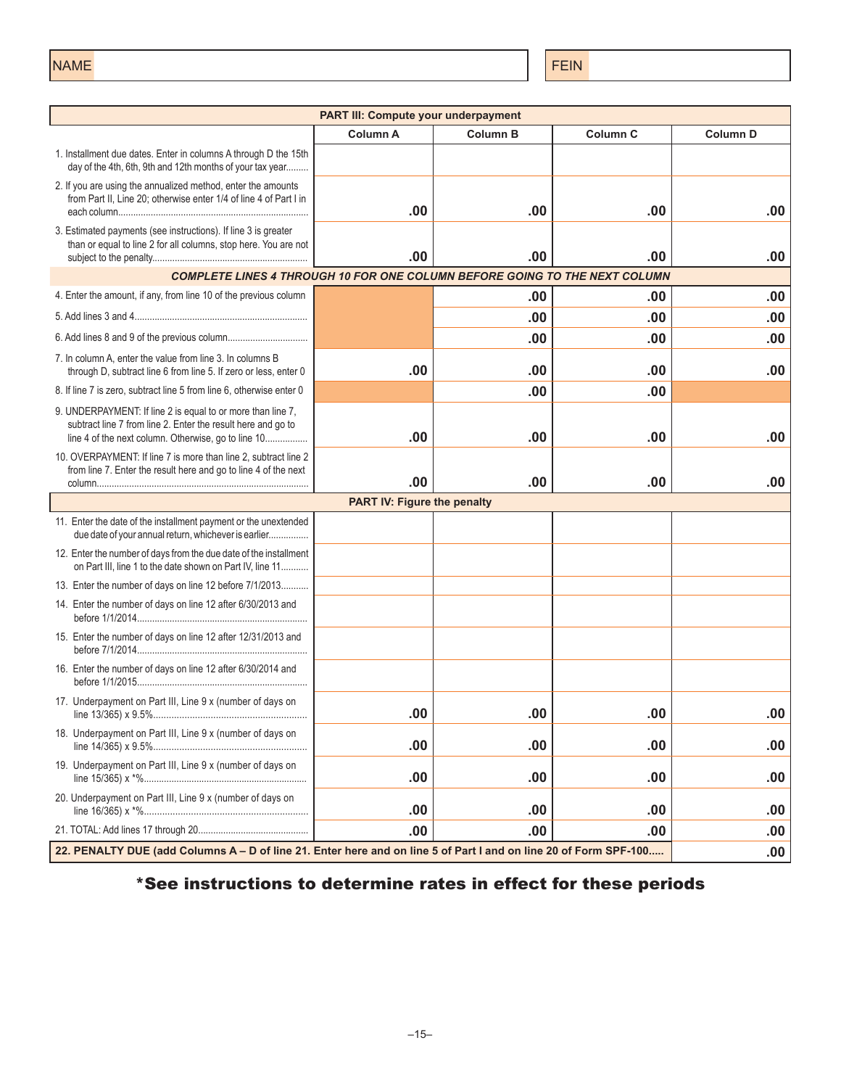NAME FEIN AND RESERVE THE SERVE THAT IS A REPORT OF THE SERVE THAT IS A REPORT OF THE SERVE THAT IS A REPORT OF THE SERVE THAT IS A REPORT OF THE SERVE THAT IS A REPORT OF THE SERVE THAT IS A REPORT OF THE SERVE THAT IS A

| <b>PART III: Compute your underpayment</b>                                                                                                                                         |                             |                 |          |                 |  |  |  |  |  |  |
|------------------------------------------------------------------------------------------------------------------------------------------------------------------------------------|-----------------------------|-----------------|----------|-----------------|--|--|--|--|--|--|
|                                                                                                                                                                                    | <b>Column A</b>             | <b>Column B</b> | Column C | <b>Column D</b> |  |  |  |  |  |  |
| 1. Installment due dates. Enter in columns A through D the 15th<br>day of the 4th, 6th, 9th and 12th months of your tax year                                                       |                             |                 |          |                 |  |  |  |  |  |  |
| 2. If you are using the annualized method, enter the amounts<br>from Part II, Line 20; otherwise enter 1/4 of line 4 of Part I in                                                  | .00                         | .00             | .00      | .00             |  |  |  |  |  |  |
| 3. Estimated payments (see instructions). If line 3 is greater<br>than or equal to line 2 for all columns, stop here. You are not                                                  | .00                         | .00             | .00      | .00             |  |  |  |  |  |  |
| <b>COMPLETE LINES 4 THROUGH 10 FOR ONE COLUMN BEFORE GOING TO THE NEXT COLUMN</b>                                                                                                  |                             |                 |          |                 |  |  |  |  |  |  |
| 4. Enter the amount, if any, from line 10 of the previous column                                                                                                                   |                             | .00             | .00      | .00             |  |  |  |  |  |  |
|                                                                                                                                                                                    |                             | .00             | .00      | .00             |  |  |  |  |  |  |
|                                                                                                                                                                                    |                             | .00             | .00      | .00             |  |  |  |  |  |  |
| 7. In column A, enter the value from line 3. In columns B<br>through D, subtract line 6 from line 5. If zero or less, enter 0                                                      | .00                         | .00             | .00      | .00             |  |  |  |  |  |  |
| 8. If line 7 is zero, subtract line 5 from line 6, otherwise enter 0                                                                                                               |                             | .00             | .00      |                 |  |  |  |  |  |  |
| 9. UNDERPAYMENT: If line 2 is equal to or more than line 7,<br>subtract line 7 from line 2. Enter the result here and go to<br>line 4 of the next column. Otherwise, go to line 10 | .00                         | .00             | .00      | .00             |  |  |  |  |  |  |
| 10. OVERPAYMENT: If line 7 is more than line 2, subtract line 2<br>from line 7. Enter the result here and go to line 4 of the next                                                 | .00                         | .00             | .00      | .00             |  |  |  |  |  |  |
|                                                                                                                                                                                    | PART IV: Figure the penalty |                 |          |                 |  |  |  |  |  |  |
| 11. Enter the date of the installment payment or the unextended<br>due date of your annual return, whichever is earlier                                                            |                             |                 |          |                 |  |  |  |  |  |  |
| 12. Enter the number of days from the due date of the installment<br>on Part III, line 1 to the date shown on Part IV, line 11                                                     |                             |                 |          |                 |  |  |  |  |  |  |
| 13. Enter the number of days on line 12 before 7/1/2013                                                                                                                            |                             |                 |          |                 |  |  |  |  |  |  |
| 14. Enter the number of days on line 12 after 6/30/2013 and                                                                                                                        |                             |                 |          |                 |  |  |  |  |  |  |
| 15. Enter the number of days on line 12 after 12/31/2013 and                                                                                                                       |                             |                 |          |                 |  |  |  |  |  |  |
| 16. Enter the number of days on line 12 after 6/30/2014 and                                                                                                                        |                             |                 |          |                 |  |  |  |  |  |  |
| 17. Underpayment on Part III, Line 9 x (number of days on                                                                                                                          | .00                         | .00             | .00      | .00.            |  |  |  |  |  |  |
| 18. Underpayment on Part III, Line 9 x (number of days on                                                                                                                          | .00                         | .00             | .00      | .00             |  |  |  |  |  |  |
| 19. Underpayment on Part III, Line 9 x (number of days on                                                                                                                          | .00                         | .00             | .00      | .00             |  |  |  |  |  |  |
| 20. Underpayment on Part III, Line 9 x (number of days on                                                                                                                          | .00                         | .00             | .00      | .00             |  |  |  |  |  |  |
|                                                                                                                                                                                    | .00                         | .00             | .00      | .00             |  |  |  |  |  |  |
| 22. PENALTY DUE (add Columns A - D of line 21. Enter here and on line 5 of Part I and on line 20 of Form SPF-100                                                                   |                             |                 |          | .00             |  |  |  |  |  |  |

### \*See instructions to determine rates in effect for these periods